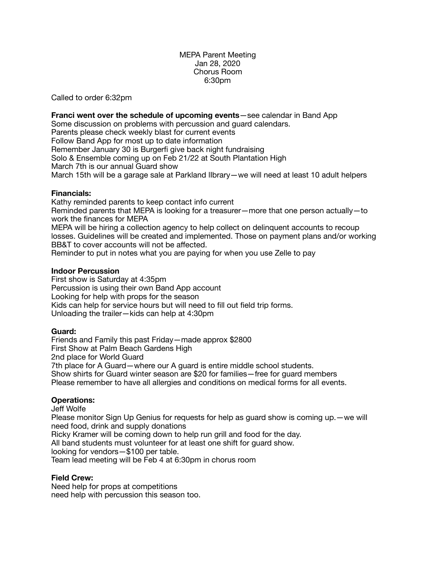#### MEPA Parent Meeting Jan 28, 2020 Chorus Room 6:30pm

Called to order 6:32pm

**Franci went over the schedule of upcoming events**—see calendar in Band App Some discussion on problems with percussion and guard calendars. Parents please check weekly blast for current events Follow Band App for most up to date information Remember January 30 is Burgerfi give back night fundraising Solo & Ensemble coming up on Feb 21/22 at South Plantation High March 7th is our annual Guard show March 15th will be a garage sale at Parkland lIbrary—we will need at least 10 adult helpers

# **Financials:**

Kathy reminded parents to keep contact info current Reminded parents that MEPA is looking for a treasurer—more that one person actually—to work the finances for MEPA MEPA will be hiring a collection agency to help collect on delinquent accounts to recoup

losses. Guidelines will be created and implemented. Those on payment plans and/or working BB&T to cover accounts will not be affected.

Reminder to put in notes what you are paying for when you use Zelle to pay

# **Indoor Percussion**

First show is Saturday at 4:35pm Percussion is using their own Band App account Looking for help with props for the season Kids can help for service hours but will need to fill out field trip forms. Unloading the trailer—kids can help at 4:30pm

# **Guard:**

Friends and Family this past Friday—made approx \$2800 First Show at Palm Beach Gardens High 2nd place for World Guard 7th place for A Guard—where our A guard is entire middle school students. Show shirts for Guard winter season are \$20 for families—free for guard members Please remember to have all allergies and conditions on medical forms for all events.

# **Operations:**

#### Jeff Wolfe

Please monitor Sign Up Genius for requests for help as guard show is coming up.—we will need food, drink and supply donations

Ricky Kramer will be coming down to help run grill and food for the day.

All band students must volunteer for at least one shift for guard show.

looking for vendors—\$100 per table.

Team lead meeting will be Feb 4 at 6:30pm in chorus room

# **Field Crew:**

Need help for props at competitions need help with percussion this season too.